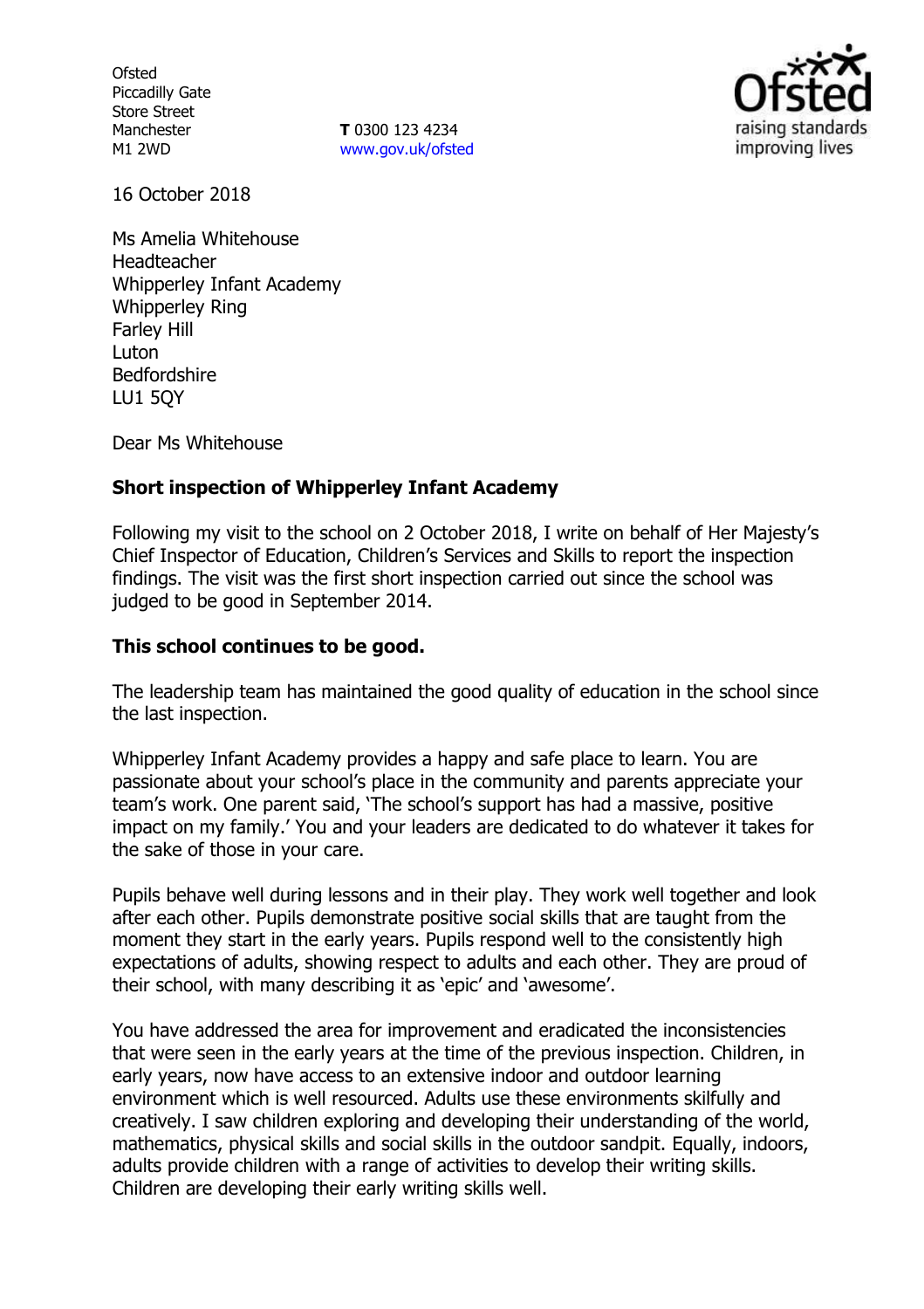**Ofsted** Piccadilly Gate Store Street Manchester M1 2WD

**T** 0300 123 4234 www.gov.uk/ofsted



16 October 2018

Ms Amelia Whitehouse Headteacher Whipperley Infant Academy Whipperley Ring Farley Hill Luton Bedfordshire LU1 5QY

Dear Ms Whitehouse

### **Short inspection of Whipperley Infant Academy**

Following my visit to the school on 2 October 2018, I write on behalf of Her Majesty's Chief Inspector of Education, Children's Services and Skills to report the inspection findings. The visit was the first short inspection carried out since the school was judged to be good in September 2014.

#### **This school continues to be good.**

The leadership team has maintained the good quality of education in the school since the last inspection.

Whipperley Infant Academy provides a happy and safe place to learn. You are passionate about your school's place in the community and parents appreciate your team's work. One parent said, 'The school's support has had a massive, positive impact on my family.' You and your leaders are dedicated to do whatever it takes for the sake of those in your care.

Pupils behave well during lessons and in their play. They work well together and look after each other. Pupils demonstrate positive social skills that are taught from the moment they start in the early years. Pupils respond well to the consistently high expectations of adults, showing respect to adults and each other. They are proud of their school, with many describing it as 'epic' and 'awesome'.

You have addressed the area for improvement and eradicated the inconsistencies that were seen in the early years at the time of the previous inspection. Children, in early years, now have access to an extensive indoor and outdoor learning environment which is well resourced. Adults use these environments skilfully and creatively. I saw children exploring and developing their understanding of the world, mathematics, physical skills and social skills in the outdoor sandpit. Equally, indoors, adults provide children with a range of activities to develop their writing skills. Children are developing their early writing skills well.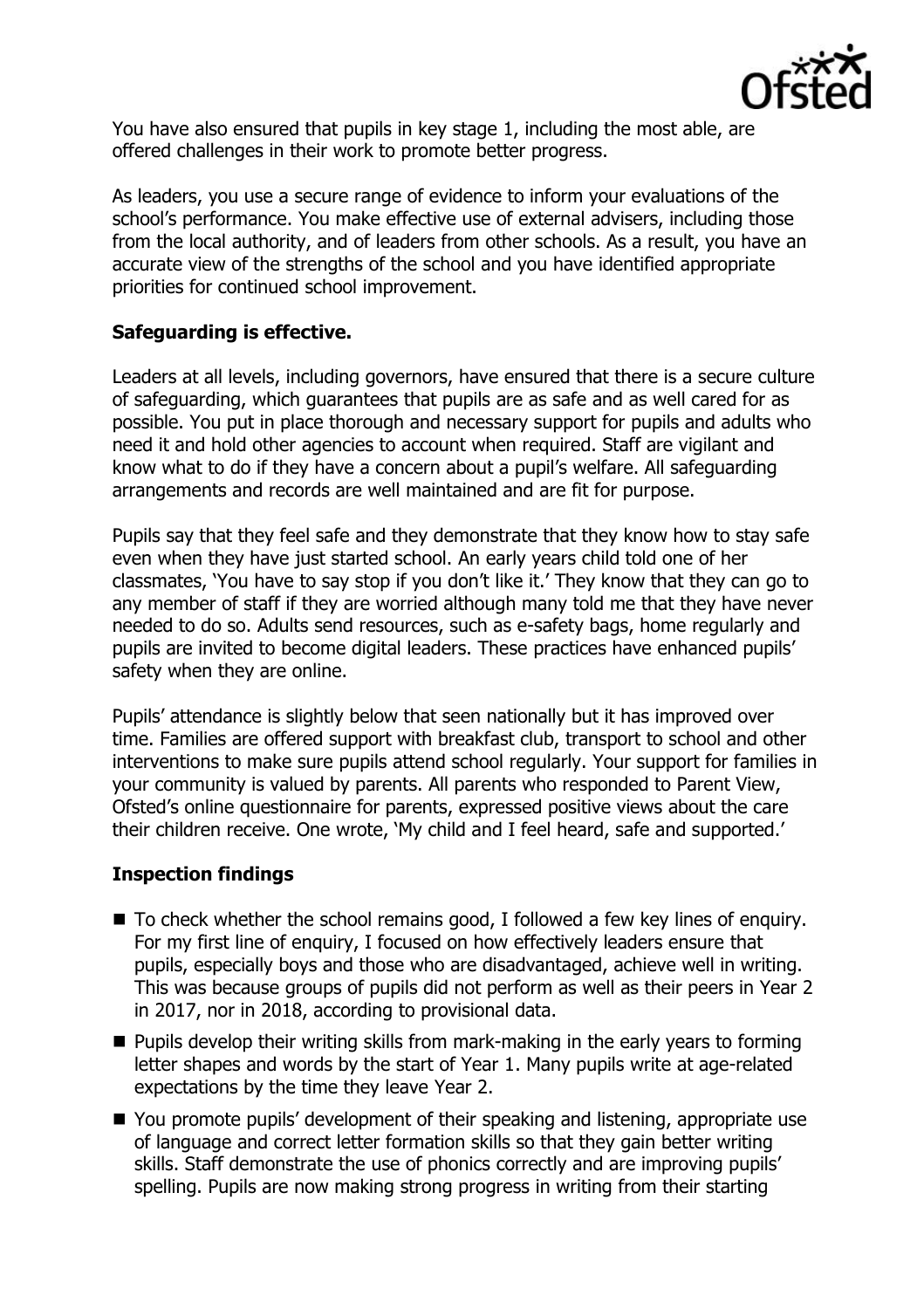

You have also ensured that pupils in key stage 1, including the most able, are offered challenges in their work to promote better progress.

As leaders, you use a secure range of evidence to inform your evaluations of the school's performance. You make effective use of external advisers, including those from the local authority, and of leaders from other schools. As a result, you have an accurate view of the strengths of the school and you have identified appropriate priorities for continued school improvement.

# **Safeguarding is effective.**

Leaders at all levels, including governors, have ensured that there is a secure culture of safeguarding, which guarantees that pupils are as safe and as well cared for as possible. You put in place thorough and necessary support for pupils and adults who need it and hold other agencies to account when required. Staff are vigilant and know what to do if they have a concern about a pupil's welfare. All safeguarding arrangements and records are well maintained and are fit for purpose.

Pupils say that they feel safe and they demonstrate that they know how to stay safe even when they have just started school. An early years child told one of her classmates, 'You have to say stop if you don't like it.' They know that they can go to any member of staff if they are worried although many told me that they have never needed to do so. Adults send resources, such as e-safety bags, home regularly and pupils are invited to become digital leaders. These practices have enhanced pupils' safety when they are online.

Pupils' attendance is slightly below that seen nationally but it has improved over time. Families are offered support with breakfast club, transport to school and other interventions to make sure pupils attend school regularly. Your support for families in your community is valued by parents. All parents who responded to Parent View, Ofsted's online questionnaire for parents, expressed positive views about the care their children receive. One wrote, 'My child and I feel heard, safe and supported.'

# **Inspection findings**

- To check whether the school remains good, I followed a few key lines of enquiry. For my first line of enquiry, I focused on how effectively leaders ensure that pupils, especially boys and those who are disadvantaged, achieve well in writing. This was because groups of pupils did not perform as well as their peers in Year 2 in 2017, nor in 2018, according to provisional data.
- $\blacksquare$  Pupils develop their writing skills from mark-making in the early years to forming letter shapes and words by the start of Year 1. Many pupils write at age-related expectations by the time they leave Year 2.
- You promote pupils' development of their speaking and listening, appropriate use of language and correct letter formation skills so that they gain better writing skills. Staff demonstrate the use of phonics correctly and are improving pupils' spelling. Pupils are now making strong progress in writing from their starting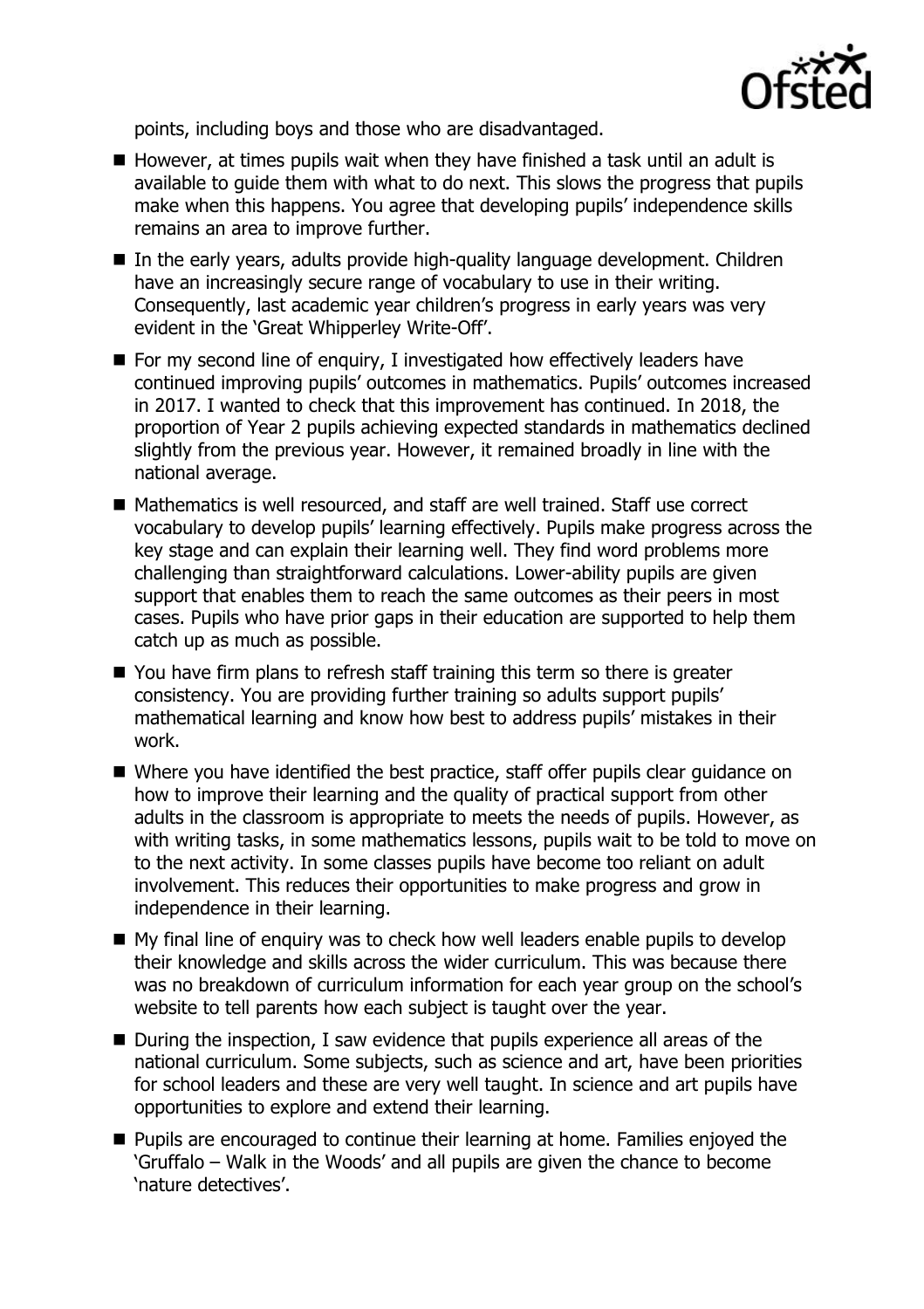

points, including boys and those who are disadvantaged.

- $\blacksquare$  However, at times pupils wait when they have finished a task until an adult is available to guide them with what to do next. This slows the progress that pupils make when this happens. You agree that developing pupils' independence skills remains an area to improve further.
- In the early years, adults provide high-quality language development. Children have an increasingly secure range of vocabulary to use in their writing. Consequently, last academic year children's progress in early years was very evident in the 'Great Whipperley Write-Off'.
- $\blacksquare$  For my second line of enquiry, I investigated how effectively leaders have continued improving pupils' outcomes in mathematics. Pupils' outcomes increased in 2017. I wanted to check that this improvement has continued. In 2018, the proportion of Year 2 pupils achieving expected standards in mathematics declined slightly from the previous year. However, it remained broadly in line with the national average.
- Mathematics is well resourced, and staff are well trained. Staff use correct vocabulary to develop pupils' learning effectively. Pupils make progress across the key stage and can explain their learning well. They find word problems more challenging than straightforward calculations. Lower-ability pupils are given support that enables them to reach the same outcomes as their peers in most cases. Pupils who have prior gaps in their education are supported to help them catch up as much as possible.
- You have firm plans to refresh staff training this term so there is greater consistency. You are providing further training so adults support pupils' mathematical learning and know how best to address pupils' mistakes in their work.
- Where you have identified the best practice, staff offer pupils clear quidance on how to improve their learning and the quality of practical support from other adults in the classroom is appropriate to meets the needs of pupils. However, as with writing tasks, in some mathematics lessons, pupils wait to be told to move on to the next activity. In some classes pupils have become too reliant on adult involvement. This reduces their opportunities to make progress and grow in independence in their learning.
- My final line of enquiry was to check how well leaders enable pupils to develop their knowledge and skills across the wider curriculum. This was because there was no breakdown of curriculum information for each year group on the school's website to tell parents how each subject is taught over the year.
- During the inspection, I saw evidence that pupils experience all areas of the national curriculum. Some subjects, such as science and art, have been priorities for school leaders and these are very well taught. In science and art pupils have opportunities to explore and extend their learning.
- **Pupils are encouraged to continue their learning at home. Families enjoyed the** 'Gruffalo – Walk in the Woods' and all pupils are given the chance to become 'nature detectives'.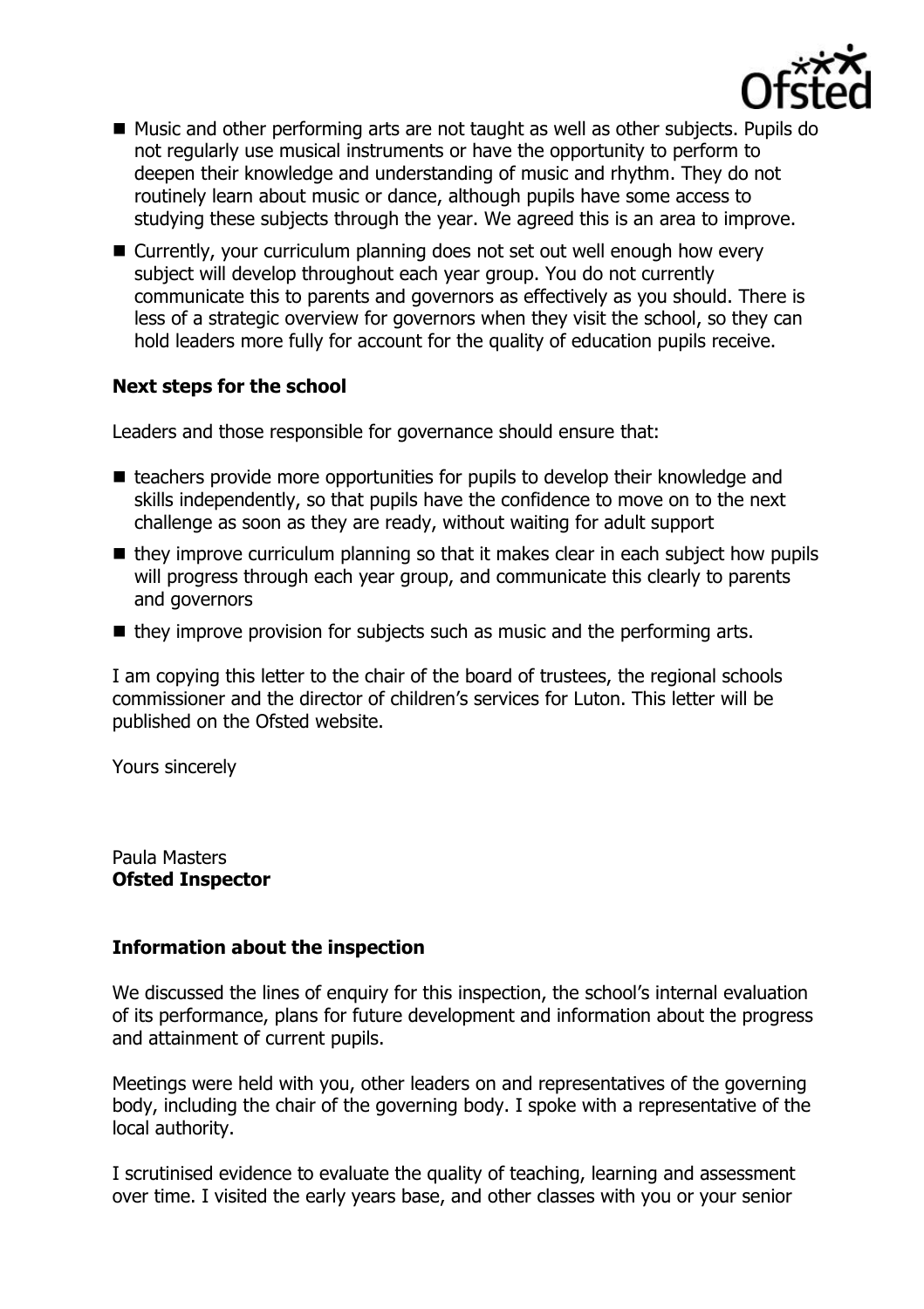

- Music and other performing arts are not taught as well as other subjects. Pupils do not regularly use musical instruments or have the opportunity to perform to deepen their knowledge and understanding of music and rhythm. They do not routinely learn about music or dance, although pupils have some access to studying these subjects through the year. We agreed this is an area to improve.
- Currently, your curriculum planning does not set out well enough how every subject will develop throughout each year group. You do not currently communicate this to parents and governors as effectively as you should. There is less of a strategic overview for governors when they visit the school, so they can hold leaders more fully for account for the quality of education pupils receive.

# **Next steps for the school**

Leaders and those responsible for governance should ensure that:

- $\blacksquare$  teachers provide more opportunities for pupils to develop their knowledge and skills independently, so that pupils have the confidence to move on to the next challenge as soon as they are ready, without waiting for adult support
- $\blacksquare$  they improve curriculum planning so that it makes clear in each subject how pupils will progress through each year group, and communicate this clearly to parents and governors
- $\blacksquare$  they improve provision for subjects such as music and the performing arts.

I am copying this letter to the chair of the board of trustees, the regional schools commissioner and the director of children's services for Luton. This letter will be published on the Ofsted website.

Yours sincerely

Paula Masters **Ofsted Inspector**

### **Information about the inspection**

We discussed the lines of enquiry for this inspection, the school's internal evaluation of its performance, plans for future development and information about the progress and attainment of current pupils.

Meetings were held with you, other leaders on and representatives of the governing body, including the chair of the governing body. I spoke with a representative of the local authority.

I scrutinised evidence to evaluate the quality of teaching, learning and assessment over time. I visited the early years base, and other classes with you or your senior